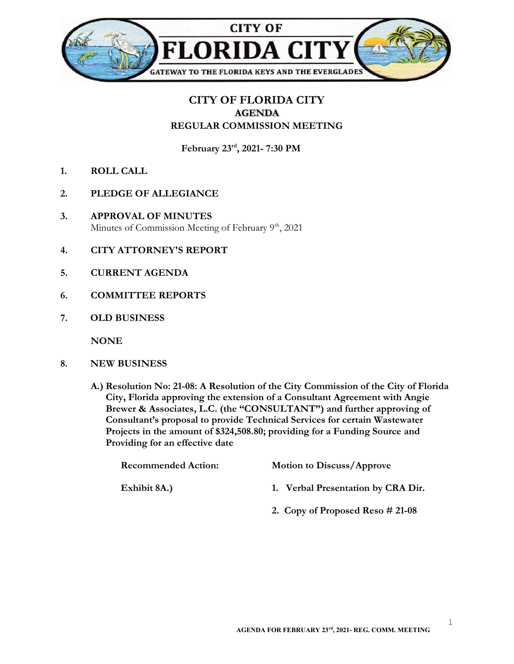

## CITY OF FLORIDA CITY AGENDA REGULAR COMMISSION MEETING

February 23rd, 2021- 7:30 PM

- 1. ROLL CALL
- 2. PLEDGE OF ALLEGIANCE
- 3. APPROVAL OF MINUTES Minutes of Commission Meeting of February 9<sup>th</sup>, 2021
- 4. CITY ATTORNEY'S REPORT
- 5. CURRENT AGENDA
- 6. COMMITTEE REPORTS
- 7. OLD BUSINESS

**NONE** 

- 8. NEW BUSINESS
	- A.) Resolution No: 21-08: A Resolution of the City Commission of the City of Florida City, Florida approving the extension of a Consultant Agreement with Angie Brewer & Associates, L.C. (the "CONSULTANT") and further approving of Consultant's proposal to provide Technical Services for certain Wastewater Projects in the amount of \$324,508.80; providing for a Funding Source and Providing for an effective date

| <b>Recommended Action:</b> | <b>Motion to Discuss/Approve</b>    |
|----------------------------|-------------------------------------|
| Exhibit 8A.)               | 1. Verbal Presentation by CRA Dir.  |
|                            | 2. Copy of Proposed Reso $\#$ 21-08 |

1